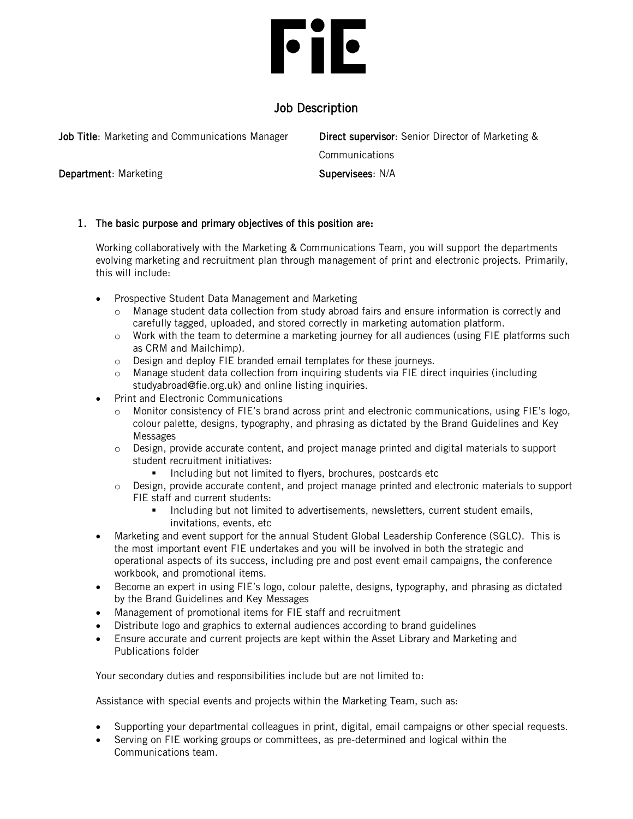# **File**

## Job Description

| Job Title: Marketing and Communications Manager | <b>Direct supervisor:</b> Senior Director of Marketing & |
|-------------------------------------------------|----------------------------------------------------------|
|                                                 | Communications                                           |
| <b>Department:</b> Marketing                    | Supervisees: N/A                                         |

### 1. The basic purpose and primary objectives of this position are:

Working collaboratively with the Marketing & Communications Team, you will support the departments evolving marketing and recruitment plan through management of print and electronic projects. Primarily, this will include:

- Prospective Student Data Management and Marketing
	- o Manage student data collection from study abroad fairs and ensure information is correctly and carefully tagged, uploaded, and stored correctly in marketing automation platform.
	- o Work with the team to determine a marketing journey for all audiences (using FIE platforms such as CRM and Mailchimp).
	- o Design and deploy FIE branded email templates for these journeys.
	- o Manage student data collection from inquiring students via FIE direct inquiries (including studyabroad@fie.org.uk) and online listing inquiries.
- Print and Electronic Communications
	- o Monitor consistency of FIE's brand across print and electronic communications, using FIE's logo, colour palette, designs, typography, and phrasing as dictated by the Brand Guidelines and Key Messages
	- o Design, provide accurate content, and project manage printed and digital materials to support student recruitment initiatives:
		- Including but not limited to flyers, brochures, postcards etc
	- o Design, provide accurate content, and project manage printed and electronic materials to support FIE staff and current students:
		- Including but not limited to advertisements, newsletters, current student emails, invitations, events, etc
- Marketing and event support for the annual Student Global Leadership Conference (SGLC). This is the most important event FIE undertakes and you will be involved in both the strategic and operational aspects of its success, including pre and post event email campaigns, the conference workbook, and promotional items.
- Become an expert in using FIE's logo, colour palette, designs, typography, and phrasing as dictated by the Brand Guidelines and Key Messages
- Management of promotional items for FIE staff and recruitment
- Distribute logo and graphics to external audiences according to brand guidelines
- Ensure accurate and current projects are kept within the Asset Library and Marketing and Publications folder

Your secondary duties and responsibilities include but are not limited to:

Assistance with special events and projects within the Marketing Team, such as:

- Supporting your departmental colleagues in print, digital, email campaigns or other special requests.
- Serving on FIE working groups or committees, as pre-determined and logical within the Communications team.